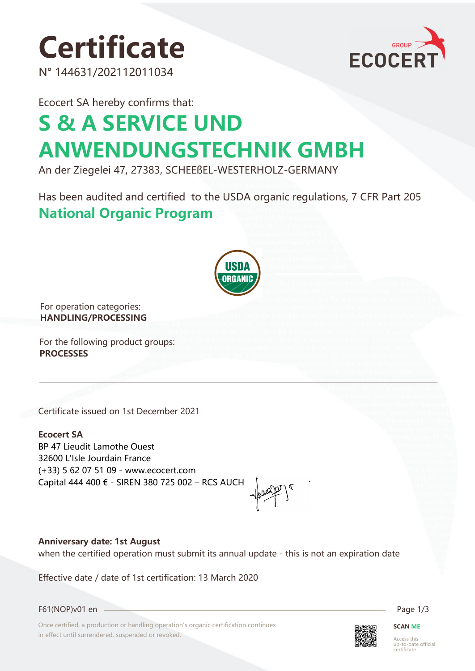# **Certificate**

N° 144631/202112011034



Ecocert SA hereby confirms that:

## **S & A SERVICE UND ANWENDUNGSTECHNIK GMBH**

An der Ziegelei 47, 27383, SCHEEßEL-WESTERHOLZ-GERMANY

Has been audited and certified to the USDA organic regulations, 7 CFR Part 205 **National Organic Program** 



For operation categories: **HANDLING/PROCESSING**

For the following product groups: **PROCESSES**

Certificate issued on 1st December 2021

**Ecocert SA** BP 47 Lieudit Lamothe Ouest 32600 L'Isle Jourdain France (+33) 5 62 07 51 09 - www.ecocert.com Capital 444 400 € - SIREN 380 725 002 – RCS AUCH

**Anniversary date: 1st August**

when the certified operation must submit its annual update - this is not an expiration date

Effective date / date of 1st certification: 13 March 2020

F61(NOP)v01 en Page 1/3

Once certified, a production or handling operation's organic certification continues in effect until surrendered, suspended or revoked.



**SCAN ME**

Access this up-to-date official certificate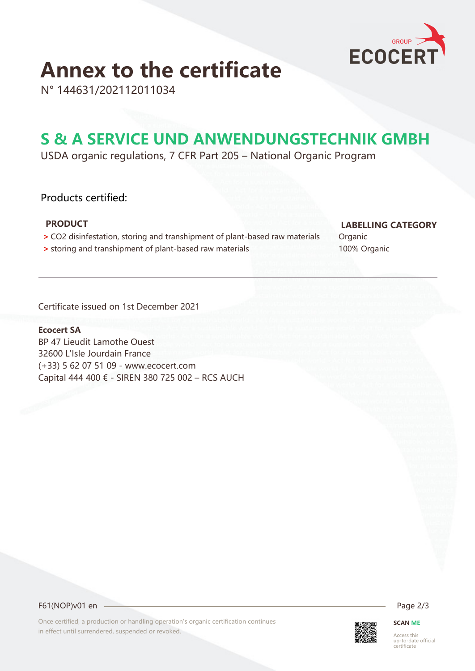

## **Annex to the certificate**

N° 144631/202112011034

### **S & A SERVICE UND ANWENDUNGSTECHNIK GMBH**

USDA organic regulations, 7 CFR Part 205 – National Organic Program

### Products certified:

- **>** CO2 disinfestation, storing and transhipment of plant-based raw materials Organic
- **•** storing and transhipment of plant-based raw materials 100% Organic

### **PRODUCT LABELLING CATEGORY**

Certificate issued on 1st December 2021

### **Ecocert SA**

BP 47 Lieudit Lamothe Ouest 32600 L'Isle Jourdain France (+33) 5 62 07 51 09 - www.ecocert.com Capital 444 400 € - SIREN 380 725 002 – RCS AUCH

F61(NOP)v01 en 2/3

Once certified, a production or handling operation's organic certification continues in effect until surrendered, suspended or revoked.



**SCAN ME**

Access this up-to-date official certificate